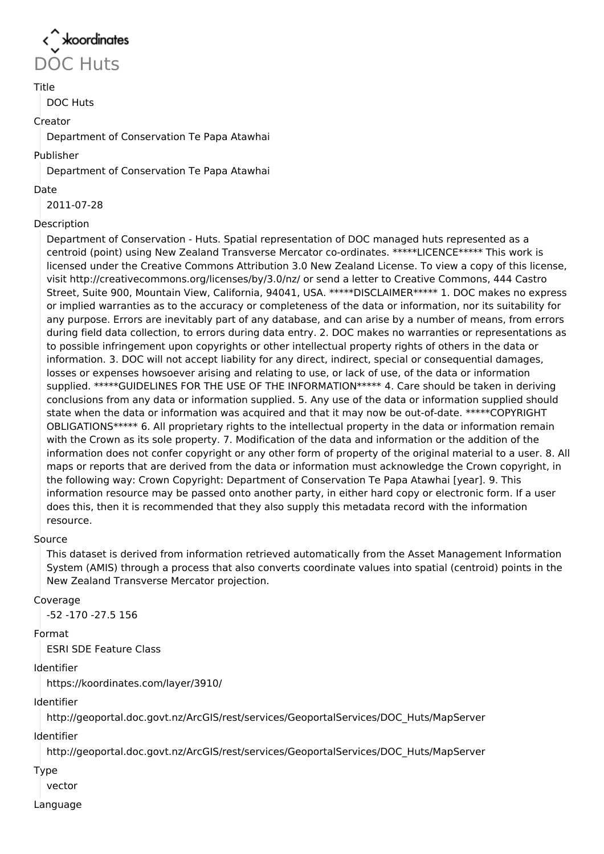

# Title

DOC Huts

#### Creator

Department of Conservation Te Papa Atawhai

#### Publisher

Department of Conservation Te Papa Atawhai

#### Date

2011-07-28

## Description

Department of Conservation - Huts. Spatial representation of DOC managed huts represented as a centroid (point) using New Zealand Transverse Mercator co-ordinates. \*\*\*\*\*LICENCE\*\*\*\*\* This work is licensed under the Creative Commons Attribution 3.0 New Zealand License. To view a copy of this license, visit http://creativecommons.org/licenses/by/3.0/nz/ or send a letter to Creative Commons, 444 Castro Street, Suite 900, Mountain View, California, 94041, USA. \*\*\*\*\*DISCLAIMER\*\*\*\*\* 1. DOC makes no express or implied warranties as to the accuracy or completeness of the data or information, nor its suitability for any purpose. Errors are inevitably part of any database, and can arise by a number of means, from errors during field data collection, to errors during data entry. 2. DOC makes no warranties or representations as to possible infringement upon copyrights or other intellectual property rights of others in the data or information. 3. DOC will not accept liability for any direct, indirect, special or consequential damages, losses or expenses howsoever arising and relating to use, or lack of use, of the data or information supplied. \*\*\*\*\*GUIDELINES FOR THE USE OF THE INFORMATION\*\*\*\*\* 4. Care should be taken in deriving conclusions from any data or information supplied. 5. Any use of the data or information supplied should state when the data or information was acquired and that it may now be out-of-date. \*\*\*\*\*COPYRIGHT OBLIGATIONS\*\*\*\*\* 6. All proprietary rights to the intellectual property in the data or information remain with the Crown as its sole property. 7. Modification of the data and information or the addition of the information does not confer copyright or any other form of property of the original material to a user. 8. All maps or reports that are derived from the data or information must acknowledge the Crown copyright, in the following way: Crown Copyright: Department of Conservation Te Papa Atawhai [year]. 9. This information resource may be passed onto another party, in either hard copy or electronic form. If a user does this, then it is recommended that they also supply this metadata record with the information resource.

## Source

This dataset is derived from information retrieved automatically from the Asset Management Information System (AMIS) through a process that also converts coordinate values into spatial (centroid) points in the New Zealand Transverse Mercator projection.

## Coverage

-52 -170 -27.5 156

## Format

ESRI SDE Feature Class

## Identifier

https://koordinates.com/layer/3910/

## Identifier

http://geoportal.doc.govt.nz/ArcGIS/rest/services/GeoportalServices/DOC\_Huts/MapServer

# Identifier

http://geoportal.doc.govt.nz/ArcGIS/rest/services/GeoportalServices/DOC\_Huts/MapServer

Type

vector

## Language